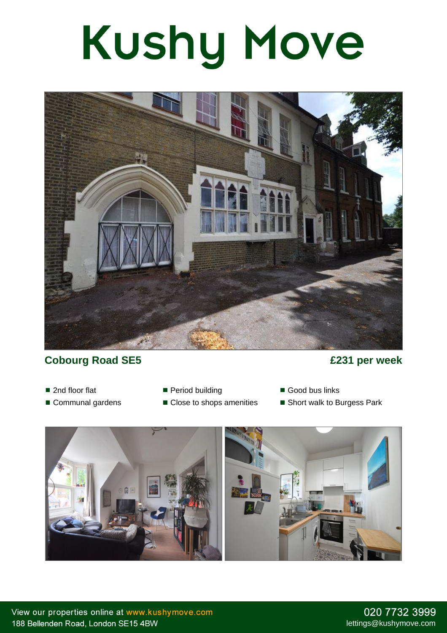## **Kushy Move**



## **Cobourg Road SE5 £231 per week**

- 
- 
- 2nd floor flat Period building Good bus links
	-
- 
- Communal gardens Close to shops amenities Short walk to Burgess Park

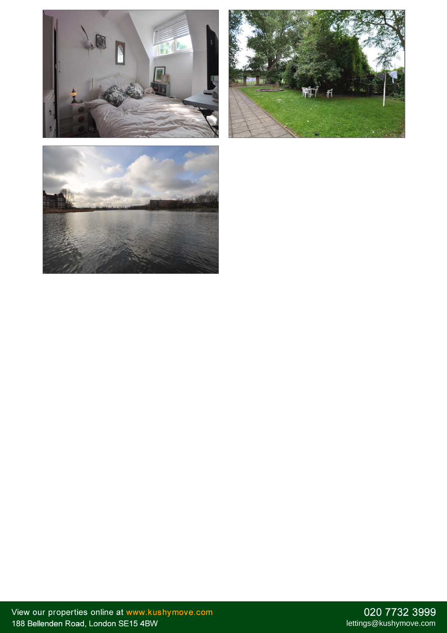